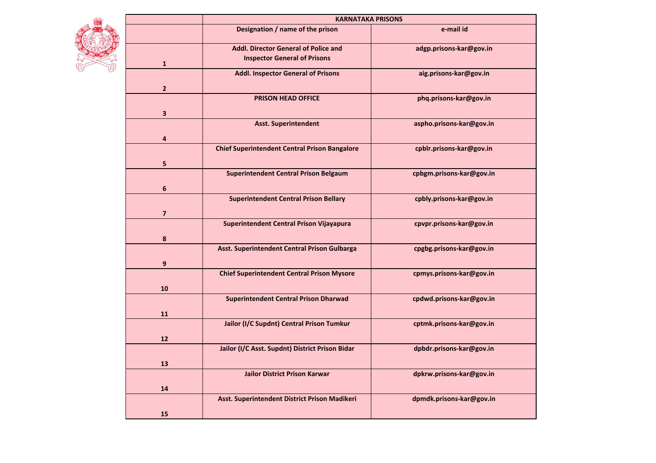|  |                         | <b>KARNATAKA PRISONS</b>                                                           |                          |
|--|-------------------------|------------------------------------------------------------------------------------|--------------------------|
|  |                         | Designation / name of the prison                                                   | e-mail id                |
|  | $\mathbf{1}$            | <b>Addl. Director General of Police and</b><br><b>Inspector General of Prisons</b> | adgp.prisons-kar@gov.in  |
|  | $\overline{2}$          | <b>Addl. Inspector General of Prisons</b>                                          | aig.prisons-kar@gov.in   |
|  | $\overline{\mathbf{3}}$ | <b>PRISON HEAD OFFICE</b>                                                          | phq.prisons-kar@gov.in   |
|  | $\overline{\mathbf{4}}$ | <b>Asst. Superintendent</b>                                                        | aspho.prisons-kar@gov.in |
|  |                         | <b>Chief Superintendent Central Prison Bangalore</b>                               | cpblr.prisons-kar@gov.in |
|  | 5                       | <b>Superintendent Central Prison Belgaum</b>                                       | cpbgm.prisons-kar@gov.in |
|  | $\boldsymbol{6}$        | <b>Superintendent Central Prison Bellary</b>                                       | cpbly.prisons-kar@gov.in |
|  | $\overline{7}$          | Superintendent Central Prison Vijayapura                                           | cpvpr.prisons-kar@gov.in |
|  | 8                       | Asst. Superintendent Central Prison Gulbarga                                       | cpgbg.prisons-kar@gov.in |
|  | 9                       | <b>Chief Superintendent Central Prison Mysore</b>                                  | cpmys.prisons-kar@gov.in |
|  | 10                      | <b>Superintendent Central Prison Dharwad</b>                                       | cpdwd.prisons-kar@gov.in |
|  | 11                      | Jailor (I/C Supdnt) Central Prison Tumkur                                          | cptmk.prisons-kar@gov.in |
|  | 12                      | Jailor (I/C Asst. Supdnt) District Prison Bidar                                    | dpbdr.prisons-kar@gov.in |
|  | 13                      | <b>Jailor District Prison Karwar</b>                                               | dpkrw.prisons-kar@gov.in |
|  | 14                      |                                                                                    |                          |
|  | 15                      | Asst. Superintendent District Prison Madikeri                                      | dpmdk.prisons-kar@gov.in |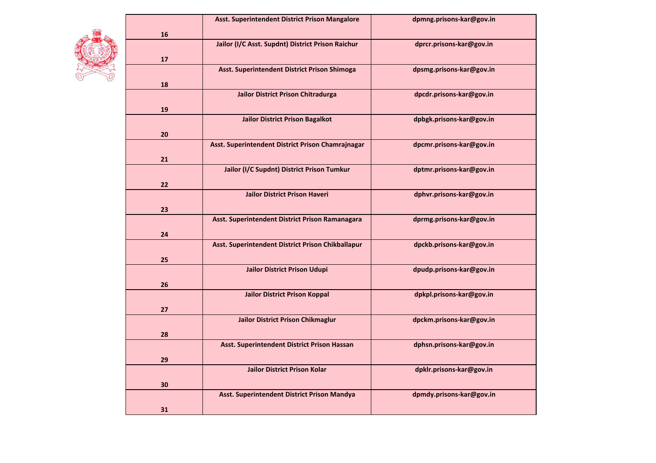|    | Asst. Superintendent District Prison Mangalore    | dpmng.prisons-kar@gov.in |
|----|---------------------------------------------------|--------------------------|
| 16 |                                                   |                          |
|    | Jailor (I/C Asst. Supdnt) District Prison Raichur | dprcr.prisons-kar@gov.in |
| 17 |                                                   |                          |
|    | Asst. Superintendent District Prison Shimoga      | dpsmg.prisons-kar@gov.in |
| 18 |                                                   |                          |
| 19 | <b>Jailor District Prison Chitradurga</b>         | dpcdr.prisons-kar@gov.in |
|    |                                                   |                          |
| 20 | <b>Jailor District Prison Bagalkot</b>            | dpbgk.prisons-kar@gov.in |
|    | Asst. Superintendent District Prison Chamrajnagar | dpcmr.prisons-kar@gov.in |
| 21 |                                                   |                          |
|    | Jailor (I/C Supdnt) District Prison Tumkur        | dptmr.prisons-kar@gov.in |
| 22 |                                                   |                          |
|    | <b>Jailor District Prison Haveri</b>              | dphvr.prisons-kar@gov.in |
| 23 |                                                   |                          |
| 24 | Asst. Superintendent District Prison Ramanagara   | dprmg.prisons-kar@gov.in |
|    | Asst. Superintendent District Prison Chikballapur | dpckb.prisons-kar@gov.in |
| 25 |                                                   |                          |
| 26 | Jailor District Prison Udupi                      | dpudp.prisons-kar@gov.in |
|    |                                                   |                          |
|    | <b>Jailor District Prison Koppal</b>              | dpkpl.prisons-kar@gov.in |
| 27 |                                                   |                          |
|    | <b>Jailor District Prison Chikmaglur</b>          | dpckm.prisons-kar@gov.in |
|    |                                                   |                          |
| 28 |                                                   |                          |
|    | Asst. Superintendent District Prison Hassan       | dphsn.prisons-kar@gov.in |
|    |                                                   |                          |
| 29 |                                                   |                          |
| 30 | <b>Jailor District Prison Kolar</b>               | dpklr.prisons-kar@gov.in |
|    | Asst. Superintendent District Prison Mandya       | dpmdy.prisons-kar@gov.in |
|    |                                                   |                          |
| 31 |                                                   |                          |

CA

**AND**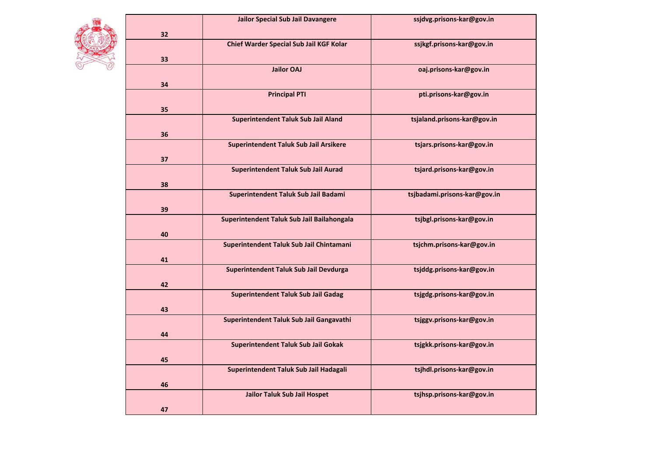

|    | <b>Jailor Special Sub Jail Davangere</b>   | ssjdvg.prisons-kar@gov.in    |
|----|--------------------------------------------|------------------------------|
| 32 |                                            |                              |
|    | Chief Warder Special Sub Jail KGF Kolar    | ssjkgf.prisons-kar@gov.in    |
| 33 |                                            |                              |
|    | <b>Jailor OAJ</b>                          | oaj.prisons-kar@gov.in       |
| 34 |                                            |                              |
|    | <b>Principal PTI</b>                       | pti.prisons-kar@gov.in       |
| 35 |                                            |                              |
| 36 | <b>Superintendent Taluk Sub Jail Aland</b> | tsjaland.prisons-kar@gov.in  |
|    |                                            |                              |
| 37 | Superintendent Taluk Sub Jail Arsikere     | tsjars.prisons-kar@gov.in    |
|    | <b>Superintendent Taluk Sub Jail Aurad</b> | tsjard.prisons-kar@gov.in    |
| 38 |                                            |                              |
|    | Superintendent Taluk Sub Jail Badami       | tsjbadami.prisons-kar@gov.in |
| 39 |                                            |                              |
|    | Superintendent Taluk Sub Jail Bailahongala | tsjbgl.prisons-kar@gov.in    |
| 40 |                                            |                              |
|    | Superintendent Taluk Sub Jail Chintamani   | tsjchm.prisons-kar@gov.in    |
|    |                                            |                              |
| 41 |                                            |                              |
|    | Superintendent Taluk Sub Jail Devdurga     | tsjddg.prisons-kar@gov.in    |
| 42 |                                            |                              |
|    | <b>Superintendent Taluk Sub Jail Gadag</b> | tsjgdg.prisons-kar@gov.in    |
| 43 |                                            |                              |
|    | Superintendent Taluk Sub Jail Gangavathi   | tsjggv.prisons-kar@gov.in    |
| 44 |                                            |                              |
|    | <b>Superintendent Taluk Sub Jail Gokak</b> | tsjgkk.prisons-kar@gov.in    |
| 45 |                                            |                              |
|    | Superintendent Taluk Sub Jail Hadagali     | tsjhdl.prisons-kar@gov.in    |
| 46 |                                            |                              |
|    | <b>Jailor Taluk Sub Jail Hospet</b>        | tsjhsp.prisons-kar@gov.in    |
| 47 |                                            |                              |